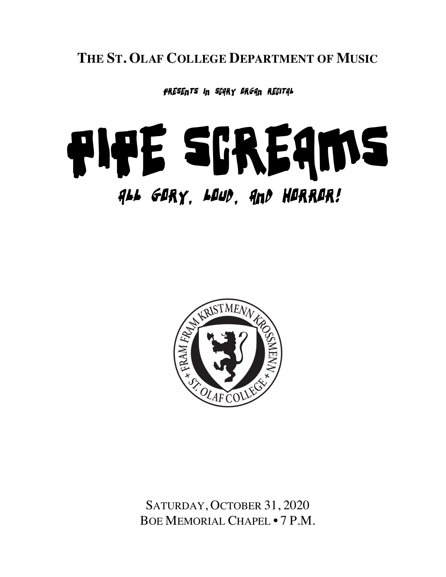**THE ST. OLAF COLLEGE DEPARTMENT OF MUSIC**

presents in scary organ recital

# Pipe Screams All Gory, loud, and horror!



SATURDAY, OCTOBER 31, 2020 BOE MEMORIAL CHAPEL • 7 P.M.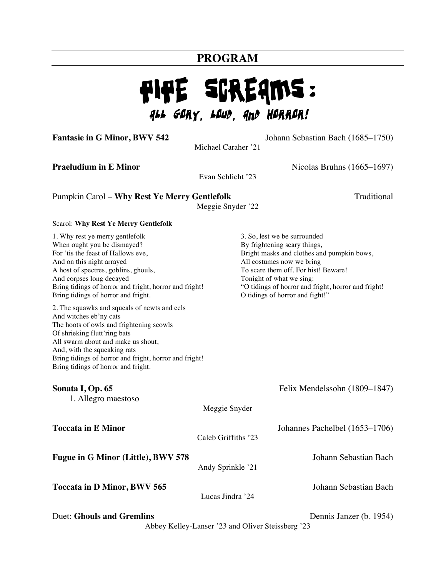# **PROGRAM**

# Pipe Screams: All Gory, Loud, and Horror!

**Fantasie in G Minor, BWV 542** Johann Sebastian Bach (1685–1750)

Michael Caraher '21

**Praeludium in E Minor** Nicolas Bruhns (1665–1697)

Evan Schlicht '23

# Pumpkin Carol – **Why Rest Ye Merry Gentlefolk** Traditional

Meggie Snyder '22

#### Scarol: **Why Rest Ye Merry Gentlefolk**

| 1. Why rest ye merry gentlefolk<br>When ought you be dismayed?<br>For 'tis the feast of Hallows eve,<br>And on this night arrayed<br>A host of spectres, goblins, ghouls,<br>And corpses long decayed<br>Bring tidings of horror and fright, horror and fright!<br>Bring tidings of horror and fright.                    |                     | 3. So, lest we be surrounded<br>By frightening scary things,<br>Bright masks and clothes and pumpkin bows,<br>All costumes now we bring<br>To scare them off. For hist! Beware!<br>Tonight of what we sing:<br>"O tidings of horror and fright, horror and fright!<br>O tidings of horror and fight!" |
|---------------------------------------------------------------------------------------------------------------------------------------------------------------------------------------------------------------------------------------------------------------------------------------------------------------------------|---------------------|-------------------------------------------------------------------------------------------------------------------------------------------------------------------------------------------------------------------------------------------------------------------------------------------------------|
| 2. The squawks and squeals of newts and eels<br>And witches eb'ny cats<br>The hoots of owls and frightening scowls<br>Of shrieking flutt'ring bats<br>All swarm about and make us shout,<br>And, with the squeaking rats<br>Bring tidings of horror and fright, horror and fright!<br>Bring tidings of horror and fright. |                     |                                                                                                                                                                                                                                                                                                       |
| Sonata I, Op. 65<br>1. Allegro maestoso                                                                                                                                                                                                                                                                                   |                     | Felix Mendelssohn (1809–1847)                                                                                                                                                                                                                                                                         |
|                                                                                                                                                                                                                                                                                                                           | Meggie Snyder       |                                                                                                                                                                                                                                                                                                       |
| <b>Toccata in E Minor</b>                                                                                                                                                                                                                                                                                                 | Caleb Griffiths '23 | Johannes Pachelbel (1653–1706)                                                                                                                                                                                                                                                                        |
| Fugue in G Minor (Little), BWV 578                                                                                                                                                                                                                                                                                        | Andy Sprinkle '21   | Johann Sebastian Bach                                                                                                                                                                                                                                                                                 |
| <b>Toccata in D Minor, BWV 565</b>                                                                                                                                                                                                                                                                                        | Lucas Jindra '24    | Johann Sebastian Bach                                                                                                                                                                                                                                                                                 |
| <b>Duet: Ghouls and Gremlins</b>                                                                                                                                                                                                                                                                                          |                     | Dennis Janzer (b. 1954)<br>Abbey Kelley Lanser '23 and Oliver Steissberg '23                                                                                                                                                                                                                          |

Abbey Kelley-Lanser '23 and Oliver Steissberg '23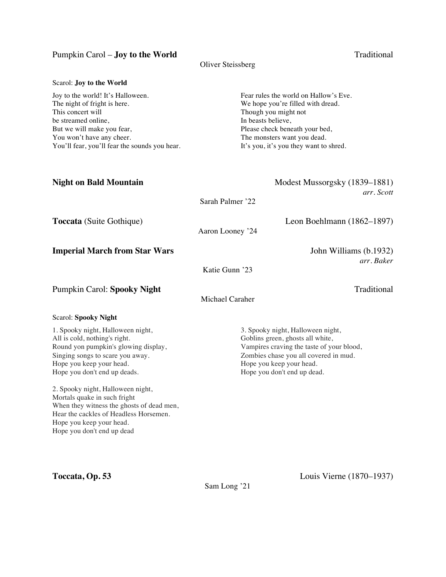### Pumpkin Carol – **Joy to the World** Traditional

#### Oliver Steissberg

| Joy to the world! It's Halloween.             | Fear rules the world on Hallow's Eve.  |
|-----------------------------------------------|----------------------------------------|
| The night of fright is here.                  | We hope you're filled with dread.      |
| This concert will                             | Though you might not                   |
| be streamed online,                           | In beasts believe,                     |
| But we will make you fear,                    | Please check beneath your bed,         |
| You won't have any cheer.                     | The monsters want you dead.            |
| You'll fear, you'll fear the sounds you hear. | It's you, it's you they want to shred. |

| <b>Night on Bald Mountain</b>                                                                                                                                                                                      | Modest Mussorgsky (1839–1881)<br>arr. Scott                                                                                                                                                                            |
|--------------------------------------------------------------------------------------------------------------------------------------------------------------------------------------------------------------------|------------------------------------------------------------------------------------------------------------------------------------------------------------------------------------------------------------------------|
|                                                                                                                                                                                                                    | Sarah Palmer '22                                                                                                                                                                                                       |
| <b>Toccata</b> (Suite Gothique)                                                                                                                                                                                    | Leon Boehlmann $(1862-1897)$<br>Aaron Looney '24                                                                                                                                                                       |
| <b>Imperial March from Star Wars</b>                                                                                                                                                                               | John Williams (b.1932)<br>arr. Baker<br>Katie Gunn '23                                                                                                                                                                 |
| <b>Pumpkin Carol: Spooky Night</b>                                                                                                                                                                                 | Traditional<br>Michael Caraher                                                                                                                                                                                         |
| <b>Scarol: Spooky Night</b>                                                                                                                                                                                        |                                                                                                                                                                                                                        |
| 1. Spooky night, Halloween night,<br>All is cold, nothing's right.<br>Round yon pumpkin's glowing display,<br>Singing songs to scare you away.<br>Hope you keep your head.<br>Hope you don't end up deads.         | 3. Spooky night, Halloween night,<br>Goblins green, ghosts all white,<br>Vampires craving the taste of your blood,<br>Zombies chase you all covered in mud.<br>Hope you keep your head.<br>Hope you don't end up dead. |
| 2. Spooky night, Halloween night,<br>Mortals quake in such fright<br>When they witness the ghosts of dead men,<br>Hear the cackles of Headless Horsemen.<br>Hope you keep your head.<br>Hope you don't end up dead |                                                                                                                                                                                                                        |

Sam Long '21

**Toccata, Op. 53** Louis Vierne (1870–1937)